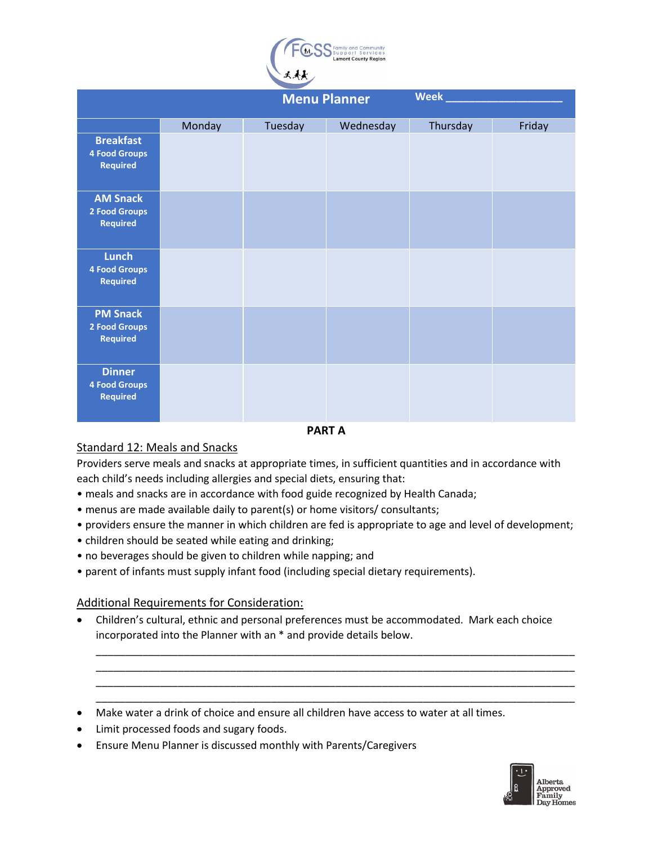

|                                                             |        | <b>Menu Planner</b> |           | Week     |        |
|-------------------------------------------------------------|--------|---------------------|-----------|----------|--------|
|                                                             | Monday | Tuesday             | Wednesday | Thursday | Friday |
| <b>Breakfast</b><br><b>4 Food Groups</b><br><b>Required</b> |        |                     |           |          |        |
| <b>AM Snack</b><br><b>2 Food Groups</b><br><b>Required</b>  |        |                     |           |          |        |
| <b>Lunch</b><br><b>4 Food Groups</b><br><b>Required</b>     |        |                     |           |          |        |
| <b>PM Snack</b><br>2 Food Groups<br><b>Required</b>         |        |                     |           |          |        |
| <b>Dinner</b><br><b>4 Food Groups</b><br><b>Required</b>    |        |                     |           |          |        |

#### **PART A**

# Standard 12: Meals and Snacks

Providers serve meals and snacks at appropriate times, in sufficient quantities and in accordance with each child's needs including allergies and special diets, ensuring that:

- meals and snacks are in accordance with food guide recognized by Health Canada;
- menus are made available daily to parent(s) or home visitors/ consultants;
- providers ensure the manner in which children are fed is appropriate to age and level of development;
- children should be seated while eating and drinking;
- no beverages should be given to children while napping; and
- parent of infants must supply infant food (including special dietary requirements).

# Additional Requirements for Consideration:

• Children's cultural, ethnic and personal preferences must be accommodated. Mark each choice incorporated into the Planner with an \* and provide details below.

\_\_\_\_\_\_\_\_\_\_\_\_\_\_\_\_\_\_\_\_\_\_\_\_\_\_\_\_\_\_\_\_\_\_\_\_\_\_\_\_\_\_\_\_\_\_\_\_\_\_\_\_\_\_\_\_\_\_\_\_\_\_\_\_\_\_\_\_\_\_\_\_\_\_\_\_\_\_\_\_\_\_ \_\_\_\_\_\_\_\_\_\_\_\_\_\_\_\_\_\_\_\_\_\_\_\_\_\_\_\_\_\_\_\_\_\_\_\_\_\_\_\_\_\_\_\_\_\_\_\_\_\_\_\_\_\_\_\_\_\_\_\_\_\_\_\_\_\_\_\_\_\_\_\_\_\_\_\_\_\_\_\_\_\_ \_\_\_\_\_\_\_\_\_\_\_\_\_\_\_\_\_\_\_\_\_\_\_\_\_\_\_\_\_\_\_\_\_\_\_\_\_\_\_\_\_\_\_\_\_\_\_\_\_\_\_\_\_\_\_\_\_\_\_\_\_\_\_\_\_\_\_\_\_\_\_\_\_\_\_\_\_\_\_\_\_\_ \_\_\_\_\_\_\_\_\_\_\_\_\_\_\_\_\_\_\_\_\_\_\_\_\_\_\_\_\_\_\_\_\_\_\_\_\_\_\_\_\_\_\_\_\_\_\_\_\_\_\_\_\_\_\_\_\_\_\_\_\_\_\_\_\_\_\_\_\_\_\_\_\_\_\_\_\_\_\_\_\_\_

- Make water a drink of choice and ensure all children have access to water at all times.
- Limit processed foods and sugary foods.
- Ensure Menu Planner is discussed monthly with Parents/Caregivers

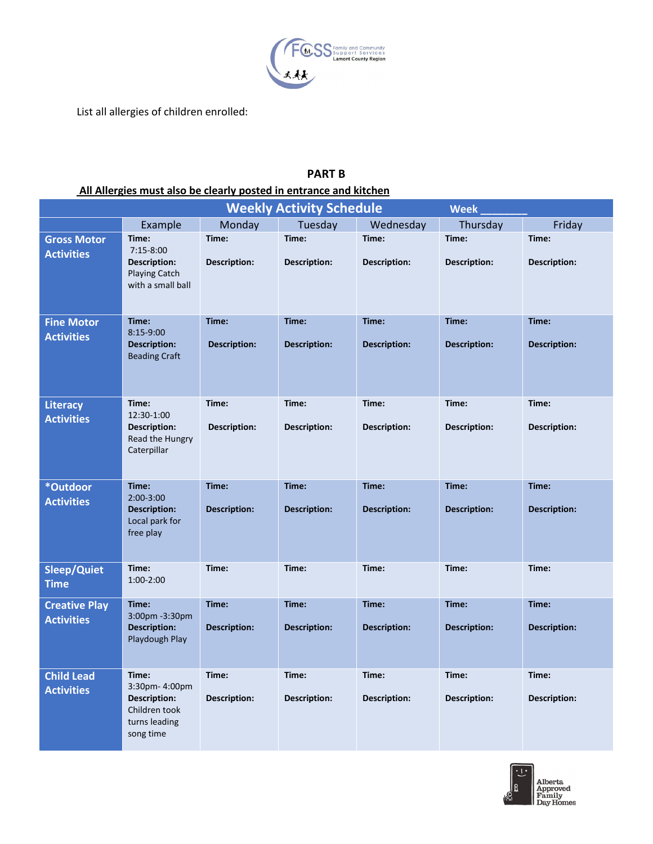

List all allergies of children enrolled:

# **PART B**

# **All Allergies must also be clearly posted in entrance and kitchen**

| <b>Weekly Activity Schedule</b><br><b>Week</b> |                                                                                     |                              |                              |                              |                              |                              |  |  |
|------------------------------------------------|-------------------------------------------------------------------------------------|------------------------------|------------------------------|------------------------------|------------------------------|------------------------------|--|--|
|                                                | Example                                                                             | Monday                       | Tuesday                      | Wednesday                    | Thursday                     | Friday                       |  |  |
| <b>Gross Motor</b><br><b>Activities</b>        | Time:<br>$7:15-8:00$                                                                | Time:                        | Time:                        | Time:                        | Time:                        | Time:                        |  |  |
|                                                | <b>Description:</b><br><b>Playing Catch</b><br>with a small ball                    | <b>Description:</b>          | <b>Description:</b>          | <b>Description:</b>          | <b>Description:</b>          | <b>Description:</b>          |  |  |
| <b>Fine Motor</b><br><b>Activities</b>         | Time:<br>$8:15-9:00$<br><b>Description:</b><br><b>Beading Craft</b>                 | Time:<br><b>Description:</b> | Time:<br><b>Description:</b> | Time:<br><b>Description:</b> | Time:<br><b>Description:</b> | Time:<br><b>Description:</b> |  |  |
| Literacy                                       | Time:<br>12:30-1:00                                                                 | Time:                        | Time:                        | Time:                        | Time:                        | Time:                        |  |  |
| <b>Activities</b>                              | <b>Description:</b><br>Read the Hungry<br>Caterpillar                               | <b>Description:</b>          | <b>Description:</b>          | Description:                 | <b>Description:</b>          | Description:                 |  |  |
| *Outdoor                                       | Time:                                                                               | Time:                        | Time:                        | Time:                        | Time:                        | Time:                        |  |  |
| <b>Activities</b>                              | 2:00-3:00<br><b>Description:</b><br>Local park for<br>free play                     | <b>Description:</b>          | <b>Description:</b>          | <b>Description:</b>          | <b>Description:</b>          | <b>Description:</b>          |  |  |
| Sleep/Quiet<br><b>Time</b>                     | Time:<br>1:00-2:00                                                                  | Time:                        | Time:                        | Time:                        | Time:                        | Time:                        |  |  |
| <b>Creative Play</b>                           | Time:<br>3:00pm -3:30pm                                                             | Time:                        | Time:                        | Time:                        | Time:                        | Time:                        |  |  |
| <b>Activities</b>                              | <b>Description:</b><br>Playdough Play                                               | <b>Description:</b>          | <b>Description:</b>          | <b>Description:</b>          | <b>Description:</b>          | <b>Description:</b>          |  |  |
| <b>Child Lead</b>                              | Time:                                                                               | Time:                        | Time:                        | Time:                        | Time:                        | Time:                        |  |  |
| <b>Activities</b>                              | 3:30pm-4:00pm<br><b>Description:</b><br>Children took<br>turns leading<br>song time | <b>Description:</b>          | <b>Description:</b>          | <b>Description:</b>          | <b>Description:</b>          | Description:                 |  |  |

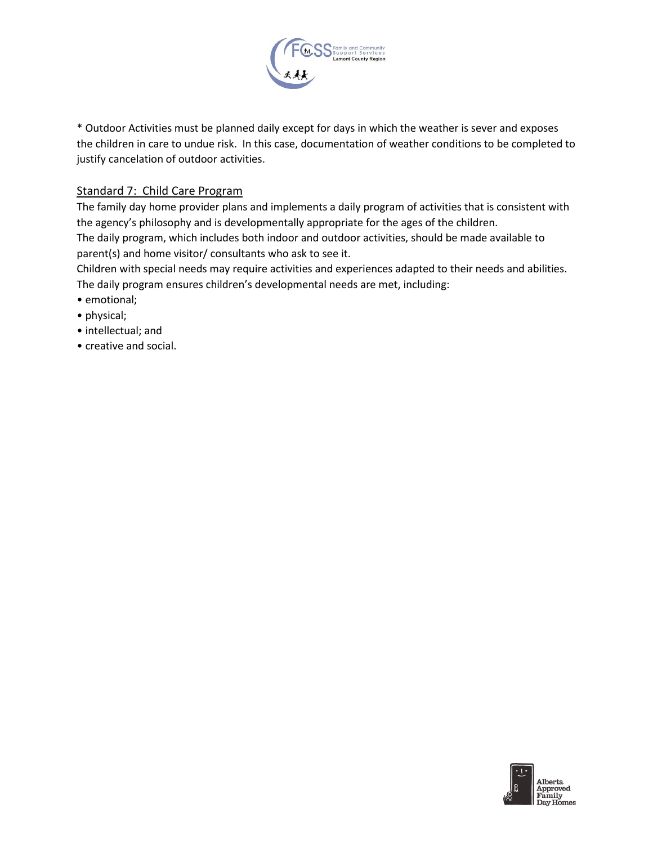

\* Outdoor Activities must be planned daily except for days in which the weather is sever and exposes the children in care to undue risk. In this case, documentation of weather conditions to be completed to justify cancelation of outdoor activities.

# Standard 7: Child Care Program

The family day home provider plans and implements a daily program of activities that is consistent with the agency's philosophy and is developmentally appropriate for the ages of the children.

The daily program, which includes both indoor and outdoor activities, should be made available to parent(s) and home visitor/ consultants who ask to see it.

Children with special needs may require activities and experiences adapted to their needs and abilities. The daily program ensures children's developmental needs are met, including:

- emotional;
- physical;
- intellectual; and
- creative and social.